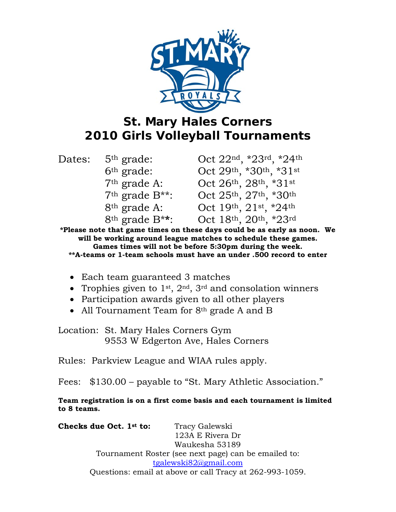

## **St. Mary Hales Corners 2010 Girls Volleyball Tournaments**

| Dates: | 5 <sup>th</sup> grade:   | Oct 22nd, *23rd, *24th |
|--------|--------------------------|------------------------|
|        | 6 <sup>th</sup> grade:   | Oct 29th, *30th, *31st |
|        | $7th$ grade A:           | Oct 26th, 28th, *31st  |
|        | $7th$ grade $B^{**}$ :   | Oct 25th, 27th, *30th  |
|        | 8 <sup>th</sup> grade A: | Oct 19th, 21st, *24th  |
|        | $8th$ grade $B**$ :      | Oct 18th, 20th, *23rd  |

**\*Please note that game times on these days could be as early as noon. We will be working around league matches to schedule these games. Games times will not be before 5:30pm during the week. \*\*A-teams or 1-team schools must have an under .500 record to enter** 

- Each team guaranteed 3 matches
- Trophies given to  $1^{st}$ ,  $2^{nd}$ ,  $3^{rd}$  and consolation winners
- Participation awards given to all other players
- All Tournament Team for 8<sup>th</sup> grade A and B

Location: St. Mary Hales Corners Gym 9553 W Edgerton Ave, Hales Corners

Rules: Parkview League and WIAA rules apply.

Fees: \$130.00 – payable to "St. Mary Athletic Association."

**Team registration is on a first come basis and each tournament is limited to 8 teams.** 

**Checks due Oct. 1st to:** Tracy Galewski 123A E Rivera Dr Waukesha 53189 Tournament Roster (see next page) can be emailed to: tgalewski82@gmail.com Questions: email at above or call Tracy at 262-993-1059.